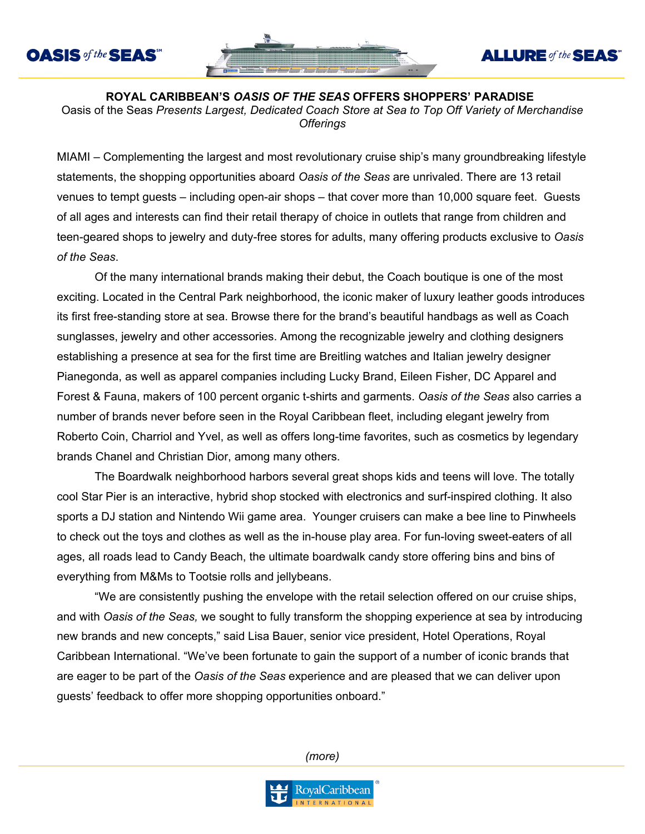**OASIS** of the **SEAS**<sup>SH</sup>



## **ALLURE** of the **SEAS**

**ROYAL CARIBBEAN'S** *OASIS OF THE SEAS* **OFFERS SHOPPERS' PARADISE** Oasis of the Seas *Presents Largest, Dedicated Coach Store at Sea to Top Off Variety of Merchandise Offerings*

MIAMI – Complementing the largest and most revolutionary cruise ship's many groundbreaking lifestyle statements, the shopping opportunities aboard *Oasis of the Seas* are unrivaled. There are 13 retail venues to tempt guests – including open-air shops – that cover more than 10,000 square feet. Guests of all ages and interests can find their retail therapy of choice in outlets that range from children and teen-geared shops to jewelry and duty-free stores for adults, many offering products exclusive to *Oasis of the Seas*.

Of the many international brands making their debut, the Coach boutique is one of the most exciting. Located in the Central Park neighborhood, the iconic maker of luxury leather goods introduces its first free-standing store at sea. Browse there for the brand's beautiful handbags as well as Coach sunglasses, jewelry and other accessories. Among the recognizable jewelry and clothing designers establishing a presence at sea for the first time are Breitling watches and Italian jewelry designer Pianegonda, as well as apparel companies including Lucky Brand, Eileen Fisher, DC Apparel and Forest & Fauna, makers of 100 percent organic t-shirts and garments. *Oasis of the Seas* also carries a number of brands never before seen in the Royal Caribbean fleet, including elegant jewelry from Roberto Coin, Charriol and Yvel, as well as offers long-time favorites, such as cosmetics by legendary brands Chanel and Christian Dior, among many others.

The Boardwalk neighborhood harbors several great shops kids and teens will love. The totally cool Star Pier is an interactive, hybrid shop stocked with electronics and surf-inspired clothing. It also sports a DJ station and Nintendo Wii game area. Younger cruisers can make a bee line to Pinwheels to check out the toys and clothes as well as the in-house play area. For fun-loving sweet-eaters of all ages, all roads lead to Candy Beach, the ultimate boardwalk candy store offering bins and bins of everything from M&Ms to Tootsie rolls and jellybeans.

"We are consistently pushing the envelope with the retail selection offered on our cruise ships, and with *Oasis of the Seas,* we sought to fully transform the shopping experience at sea by introducing new brands and new concepts," said Lisa Bauer, senior vice president, Hotel Operations, Royal Caribbean International. "We've been fortunate to gain the support of a number of iconic brands that are eager to be part of the *Oasis of the Seas* experience and are pleased that we can deliver upon guests' feedback to offer more shopping opportunities onboard."

*(more)*

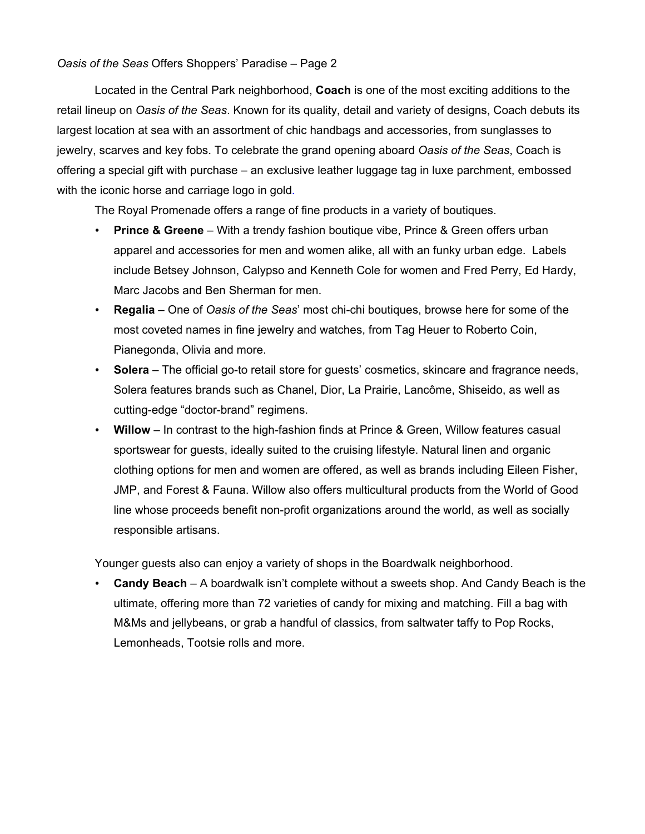## *Oasis of the Seas* Offers Shoppers' Paradise – Page 2

Located in the Central Park neighborhood, **Coach** is one of the most exciting additions to the retail lineup on *Oasis of the Seas*. Known for its quality, detail and variety of designs, Coach debuts its largest location at sea with an assortment of chic handbags and accessories, from sunglasses to jewelry, scarves and key fobs. To celebrate the grand opening aboard *Oasis of the Seas*, Coach is offering a special gift with purchase – an exclusive leather luggage tag in luxe parchment, embossed with the iconic horse and carriage logo in gold.

The Royal Promenade offers a range of fine products in a variety of boutiques.

- **Prince & Greene**  With a trendy fashion boutique vibe, Prince & Green offers urban apparel and accessories for men and women alike, all with an funky urban edge. Labels include Betsey Johnson, Calypso and Kenneth Cole for women and Fred Perry, Ed Hardy, Marc Jacobs and Ben Sherman for men.
- **Regalia**  One of *Oasis of the Seas*' most chi-chi boutiques, browse here for some of the most coveted names in fine jewelry and watches, from Tag Heuer to Roberto Coin, Pianegonda, Olivia and more.
- **Solera** The official go-to retail store for guests' cosmetics, skincare and fragrance needs, Solera features brands such as Chanel, Dior, La Prairie, Lancôme, Shiseido, as well as cutting-edge "doctor-brand" regimens.
- **Willow**  In contrast to the high-fashion finds at Prince & Green, Willow features casual sportswear for guests, ideally suited to the cruising lifestyle. Natural linen and organic clothing options for men and women are offered, as well as brands including Eileen Fisher, JMP, and Forest & Fauna. Willow also offers multicultural products from the World of Good line whose proceeds benefit non-profit organizations around the world, as well as socially responsible artisans.

Younger guests also can enjoy a variety of shops in the Boardwalk neighborhood.

• **Candy Beach** – A boardwalk isn't complete without a sweets shop. And Candy Beach is the ultimate, offering more than 72 varieties of candy for mixing and matching. Fill a bag with M&Ms and jellybeans, or grab a handful of classics, from saltwater taffy to Pop Rocks, Lemonheads, Tootsie rolls and more.